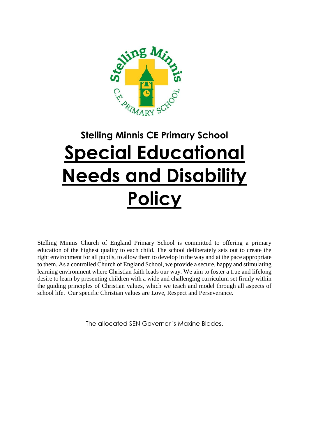

# **Stelling Minnis CE Primary School Special Educational Needs and Disability Policy**

Stelling Minnis Church of England Primary School is committed to offering a primary education of the highest quality to each child. The school deliberately sets out to create the right environment for all pupils, to allow them to develop in the way and at the pace appropriate to them. As a controlled Church of England School, we provide a secure, happy and stimulating learning environment where Christian faith leads our way. We aim to foster a true and lifelong desire to learn by presenting children with a wide and challenging curriculum set firmly within the guiding principles of Christian values, which we teach and model through all aspects of school life. Our specific Christian values are Love, Respect and Perseverance.

The allocated SEN Governor is Maxine Blades.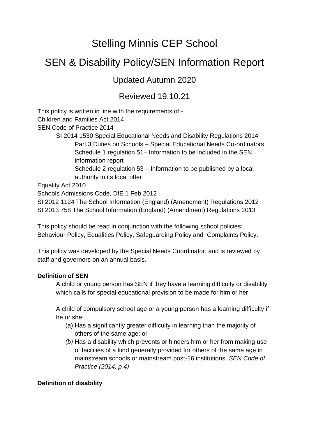# Stelling Minnis CEP School

# SEN & Disability Policy/SEN Information Report

# Updated Autumn 2020

# Reviewed 19.10.21

This policy is written in line with the requirements of:- Children and Families Act 2014 SEN Code of Practice 2014 SI 2014 1530 Special Educational Needs and Disability Regulations 2014 Part 3 Duties on Schools – Special Educational Needs Co-ordinators Schedule 1 regulation 51– Information to be included in the SEN information report Schedule 2 regulation 53 – Information to be published by a local authority in its local offer Equality Act 2010 Schools Admissions Code, DfE 1 Feb 2012

SI 2012 1124 The School Information (England) (Amendment) Regulations 2012 SI 2013 758 The School Information (England) (Amendment) Regulations 2013

This policy should be read in conjunction with the following school policies: Behaviour Policy, Equalities Policy, Safeguarding Policy and Complaints Policy.

This policy was developed by the Special Needs Coordinator, and is reviewed by staff and governors on an annual basis.

# **Definition of SEN**

A child or young person has SEN if they have a learning difficulty or disability which calls for special educational provision to be made for him or her.

A child of compulsory school age or a young person has a learning difficulty if he or she:

- (a) Has a significantly greater difficulty in learning than the majority of others of the same age; or
- *(b)* Has a disability which prevents or hinders him or her from making use of facilities of a kind generally provided for others of the same age in mainstream schools or mainstream post-16 institutions. *SEN Code of Practice (2014, p 4)*

### **Definition of disability**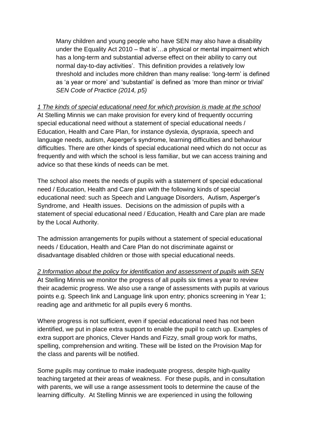Many children and young people who have SEN may also have a disability under the Equality Act 2010 – that is'…a physical or mental impairment which has a long-term and substantial adverse effect on their ability to carry out normal day-to-day activities'. This definition provides a relatively low threshold and includes more children than many realise: 'long-term' is defined as 'a year or more' and 'substantial' is defined as 'more than minor or trivial' *SEN Code of Practice (2014, p5)*

*1 The kinds of special educational need for which provision is made at the school* At Stelling Minnis we can make provision for every kind of frequently occurring special educational need without a statement of special educational needs / Education, Health and Care Plan, for instance dyslexia, dyspraxia, speech and language needs, autism, Asperger's syndrome, learning difficulties and behaviour difficulties. There are other kinds of special educational need which do not occur as frequently and with which the school is less familiar, but we can access training and advice so that these kinds of needs can be met.

The school also meets the needs of pupils with a statement of special educational need / Education, Health and Care plan with the following kinds of special educational need: such as Speech and Language Disorders, Autism, Asperger's Syndrome, and Health issues. Decisions on the admission of pupils with a statement of special educational need / Education, Health and Care plan are made by the Local Authority.

The admission arrangements for pupils without a statement of special educational needs / Education, Health and Care Plan do not discriminate against or disadvantage disabled children or those with special educational needs.

*2 Information about the policy for identification and assessment of pupils with SEN* At Stelling Minnis we monitor the progress of all pupils six times a year to review their academic progress. We also use a range of assessments with pupils at various points e.g. Speech link and Language link upon entry; phonics screening in Year 1; reading age and arithmetic for all pupils every 6 months.

Where progress is not sufficient, even if special educational need has not been identified, we put in place extra support to enable the pupil to catch up. Examples of extra support are phonics, Clever Hands and Fizzy, small group work for maths, spelling, comprehension and writing. These will be listed on the Provision Map for the class and parents will be notified.

Some pupils may continue to make inadequate progress, despite high-quality teaching targeted at their areas of weakness. For these pupils, and in consultation with parents, we will use a range assessment tools to determine the cause of the learning difficulty. At Stelling Minnis we are experienced in using the following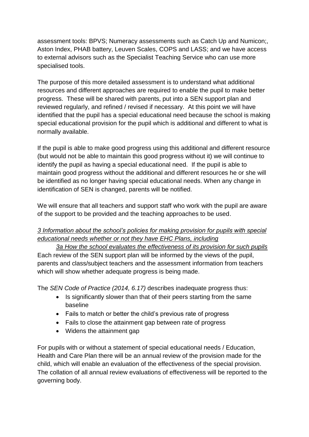assessment tools: BPVS; Numeracy assessments such as Catch Up and Numicon;, Aston Index, PHAB battery, Leuven Scales, COPS and LASS; and we have access to external advisors such as the Specialist Teaching Service who can use more specialised tools.

The purpose of this more detailed assessment is to understand what additional resources and different approaches are required to enable the pupil to make better progress. These will be shared with parents, put into a SEN support plan and reviewed regularly, and refined / revised if necessary. At this point we will have identified that the pupil has a special educational need because the school is making special educational provision for the pupil which is additional and different to what is normally available.

If the pupil is able to make good progress using this additional and different resource (but would not be able to maintain this good progress without it) we will continue to identify the pupil as having a special educational need. If the pupil is able to maintain good progress without the additional and different resources he or she will be identified as no longer having special educational needs. When any change in identification of SEN is changed, parents will be notified.

We will ensure that all teachers and support staff who work with the pupil are aware of the support to be provided and the teaching approaches to be used.

# *3 Information about the school's policies for making provision for pupils with special educational needs whether or not they have EHC Plans, including*

*3a How the school evaluates the effectiveness of its provision for such pupils* Each review of the SEN support plan will be informed by the views of the pupil, parents and class/subject teachers and the assessment information from teachers which will show whether adequate progress is being made.

The *SEN Code of Practice (2014, 6.17)* describes inadequate progress thus:

- Is significantly slower than that of their peers starting from the same baseline
- Fails to match or better the child's previous rate of progress
- Fails to close the attainment gap between rate of progress
- Widens the attainment gap

For pupils with or without a statement of special educational needs / Education, Health and Care Plan there will be an annual review of the provision made for the child, which will enable an evaluation of the effectiveness of the special provision. The collation of all annual review evaluations of effectiveness will be reported to the governing body.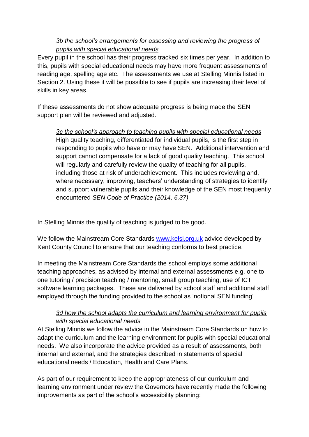# *3b the school's arrangements for assessing and reviewing the progress of pupils with special educational needs*

Every pupil in the school has their progress tracked six times per year. In addition to this, pupils with special educational needs may have more frequent assessments of reading age, spelling age etc. The assessments we use at Stelling Minnis listed in Section 2. Using these it will be possible to see if pupils are increasing their level of skills in key areas.

If these assessments do not show adequate progress is being made the SEN support plan will be reviewed and adjusted.

*3c the school's approach to teaching pupils with special educational needs* High quality teaching, differentiated for individual pupils, is the first step in responding to pupils who have or may have SEN. Additional intervention and support cannot compensate for a lack of good quality teaching. This school will regularly and carefully review the quality of teaching for all pupils, including those at risk of underachievement. This includes reviewing and, where necessary, improving, teachers' understanding of strategies to identify and support vulnerable pupils and their knowledge of the SEN most frequently encountered *SEN Code of Practice (2014, 6.37)*

In Stelling Minnis the quality of teaching is judged to be good.

We follow the Mainstream Core Standards [www.kelsi.org.uk](http://www.kelsi.org.uk/) advice developed by Kent County Council to ensure that our teaching conforms to best practice.

In meeting the Mainstream Core Standards the school employs some additional teaching approaches, as advised by internal and external assessments e.g. one to one tutoring / precision teaching / mentoring, small group teaching, use of ICT software learning packages. These are delivered by school staff and additional staff employed through the funding provided to the school as 'notional SEN funding'

# *3d how the school adapts the curriculum and learning environment for pupils with special educational needs*

At Stelling Minnis we follow the advice in the Mainstream Core Standards on how to adapt the curriculum and the learning environment for pupils with special educational needs. We also incorporate the advice provided as a result of assessments, both internal and external, and the strategies described in statements of special educational needs / Education, Health and Care Plans.

As part of our requirement to keep the appropriateness of our curriculum and learning environment under review the Governors have recently made the following improvements as part of the school's accessibility planning: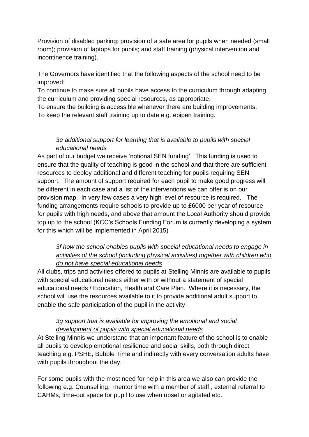Provision of disabled parking; provision of a safe area for pupils when needed (small room); provision of laptops for pupils; and staff training (physical intervention and incontinence training).

The Governors have identified that the following aspects of the school need to be improved:

To continue to make sure all pupils have access to the curriculum through adapting the curriculum and providing special resources, as appropriate.

To ensure the building is accessible whenever there are building improvements. To keep the relevant staff training up to date e.g. epipen training.

# *3e additional support for learning that is available to pupils with special educational needs*

As part of our budget we receive 'notional SEN funding'. This funding is used to ensure that the quality of teaching is good in the school and that there are sufficient resources to deploy additional and different teaching for pupils requiring SEN support. The amount of support required for each pupil to make good progress will be different in each case and a list of the interventions we can offer is on our provision map. In very few cases a very high level of resource is required. The funding arrangements require schools to provide up to £6000 per year of resource for pupils with high needs, and above that amount the Local Authority should provide top up to the school (KCC's Schools Funding Forum is currently developing a system for this which will be implemented in April 2015)

# *3f how the school enables pupils with special educational needs to engage in activities of the school (including physical activities) together with children who do not have special educational needs*

All clubs, trips and activities offered to pupils at Stelling Minnis are available to pupils with special educational needs either with or without a statement of special educational needs / Education, Health and Care Plan. Where it is necessary, the school will use the resources available to it to provide additional adult support to enable the safe participation of the pupil in the activity

# *3g support that is available for improving the emotional and social development of pupils with special educational needs*

At Stelling Minnis we understand that an important feature of the school is to enable all pupils to develop emotional resilience and social skills, both through direct teaching e.g. PSHE, Bubble Time and indirectly with every conversation adults have with pupils throughout the day.

For some pupils with the most need for help in this area we also can provide the following e.g. Counselling, mentor time with a member of staff,, external referral to CAHMs, time-out space for pupil to use when upset or agitated etc.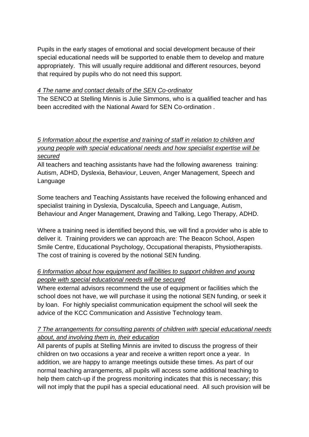Pupils in the early stages of emotional and social development because of their special educational needs will be supported to enable them to develop and mature appropriately. This will usually require additional and different resources, beyond that required by pupils who do not need this support.

#### *4 The name and contact details of the SEN Co-ordinator*

The SENCO at Stelling Minnis is Julie Simmons, who is a qualified teacher and has been accredited with the National Award for SEN Co-ordination .

# *5 Information about the expertise and training of staff in relation to children and young people with special educational needs and how specialist expertise will be secured*

All teachers and teaching assistants have had the following awareness training: Autism, ADHD, Dyslexia, Behaviour, Leuven, Anger Management, Speech and Language

Some teachers and Teaching Assistants have received the following enhanced and specialist training in Dyslexia, Dyscalculia, Speech and Language, Autism, Behaviour and Anger Management, Drawing and Talking, Lego Therapy, ADHD.

Where a training need is identified beyond this, we will find a provider who is able to deliver it. Training providers we can approach are: The Beacon School, Aspen Smile Centre, Educational Psychology, Occupational therapists, Physiotherapists. The cost of training is covered by the notional SEN funding.

# *6 Information about how equipment and facilities to support children and young people with special educational needs will be secured*

Where external advisors recommend the use of equipment or facilities which the school does not have, we will purchase it using the notional SEN funding, or seek it by loan. For highly specialist communication equipment the school will seek the advice of the KCC Communication and Assistive Technology team.

# *7 The arrangements for consulting parents of children with special educational needs about, and involving them in, their education*

All parents of pupils at Stelling Minnis are invited to discuss the progress of their children on two occasions a year and receive a written report once a year. In addition, we are happy to arrange meetings outside these times. As part of our normal teaching arrangements, all pupils will access some additional teaching to help them catch-up if the progress monitoring indicates that this is necessary; this will not imply that the pupil has a special educational need. All such provision will be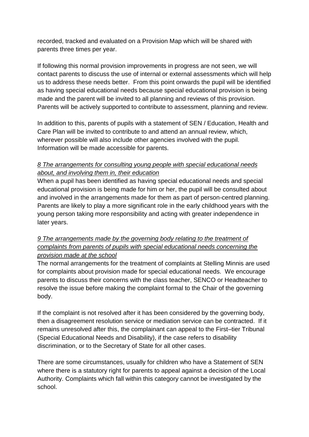recorded, tracked and evaluated on a Provision Map which will be shared with parents three times per year.

If following this normal provision improvements in progress are not seen, we will contact parents to discuss the use of internal or external assessments which will help us to address these needs better. From this point onwards the pupil will be identified as having special educational needs because special educational provision is being made and the parent will be invited to all planning and reviews of this provision. Parents will be actively supported to contribute to assessment, planning and review.

In addition to this, parents of pupils with a statement of SEN / Education, Health and Care Plan will be invited to contribute to and attend an annual review, which, wherever possible will also include other agencies involved with the pupil. Information will be made accessible for parents.

# *8 The arrangements for consulting young people with special educational needs about, and involving them in, their education*

When a pupil has been identified as having special educational needs and special educational provision is being made for him or her, the pupil will be consulted about and involved in the arrangements made for them as part of person-centred planning. Parents are likely to play a more significant role in the early childhood years with the young person taking more responsibility and acting with greater independence in later years.

# *9 The arrangements made by the governing body relating to the treatment of complaints from parents of pupils with special educational needs concerning the provision made at the school*

The normal arrangements for the treatment of complaints at Stelling Minnis are used for complaints about provision made for special educational needs. We encourage parents to discuss their concerns with the class teacher, SENCO or Headteacher to resolve the issue before making the complaint formal to the Chair of the governing body.

If the complaint is not resolved after it has been considered by the governing body, then a disagreement resolution service or mediation service can be contracted. If it remains unresolved after this, the complainant can appeal to the First–tier Tribunal (Special Educational Needs and Disability), if the case refers to disability discrimination, or to the Secretary of State for all other cases.

There are some circumstances, usually for children who have a Statement of SEN where there is a statutory right for parents to appeal against a decision of the Local Authority. Complaints which fall within this category cannot be investigated by the school.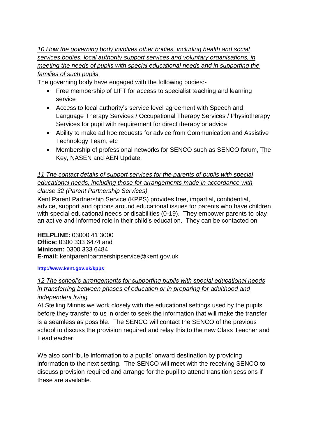*10 How the governing body involves other bodies, including health and social services bodies, local authority support services and voluntary organisations, in meeting the needs of pupils with special educational needs and in supporting the families of such pupils*

The governing body have engaged with the following bodies:-

- Free membership of LIFT for access to specialist teaching and learning service
- Access to local authority's service level agreement with Speech and Language Therapy Services / Occupational Therapy Services / Physiotherapy Services for pupil with requirement for direct therapy or advice
- Ability to make ad hoc requests for advice from Communication and Assistive Technology Team, etc
- Membership of professional networks for SENCO such as SENCO forum, The Key, NASEN and AEN Update.

## *11 The contact details of support services for the parents of pupils with special educational needs, including those for arrangements made in accordance with clause 32 (Parent Partnership Services)*

Kent Parent Partnership Service (KPPS) provides free, impartial, confidential, advice, support and options around educational issues for parents who have children with special educational needs or disabilities (0-19). They empower parents to play an active and informed role in their child's education. They can be contacted on

**HELPLINE:** 03000 41 3000 **Office:** 0300 333 6474 and **Minicom:** 0300 333 6484 **E-mail:** kentparentpartnershipservice@kent.gov.uk

**<http://www.kent.gov.uk/kpps>**

### *12 The school's arrangements for supporting pupils with special educational needs in transferring between phases of education or in preparing for adulthood and independent living*

At Stelling Minnis we work closely with the educational settings used by the pupils before they transfer to us in order to seek the information that will make the transfer is a seamless as possible. The SENCO will contact the SENCO of the previous school to discuss the provision required and relay this to the new Class Teacher and Headteacher.

We also contribute information to a pupils' onward destination by providing information to the next setting. The SENCO will meet with the receiving SENCO to discuss provision required and arrange for the pupil to attend transition sessions if these are available.